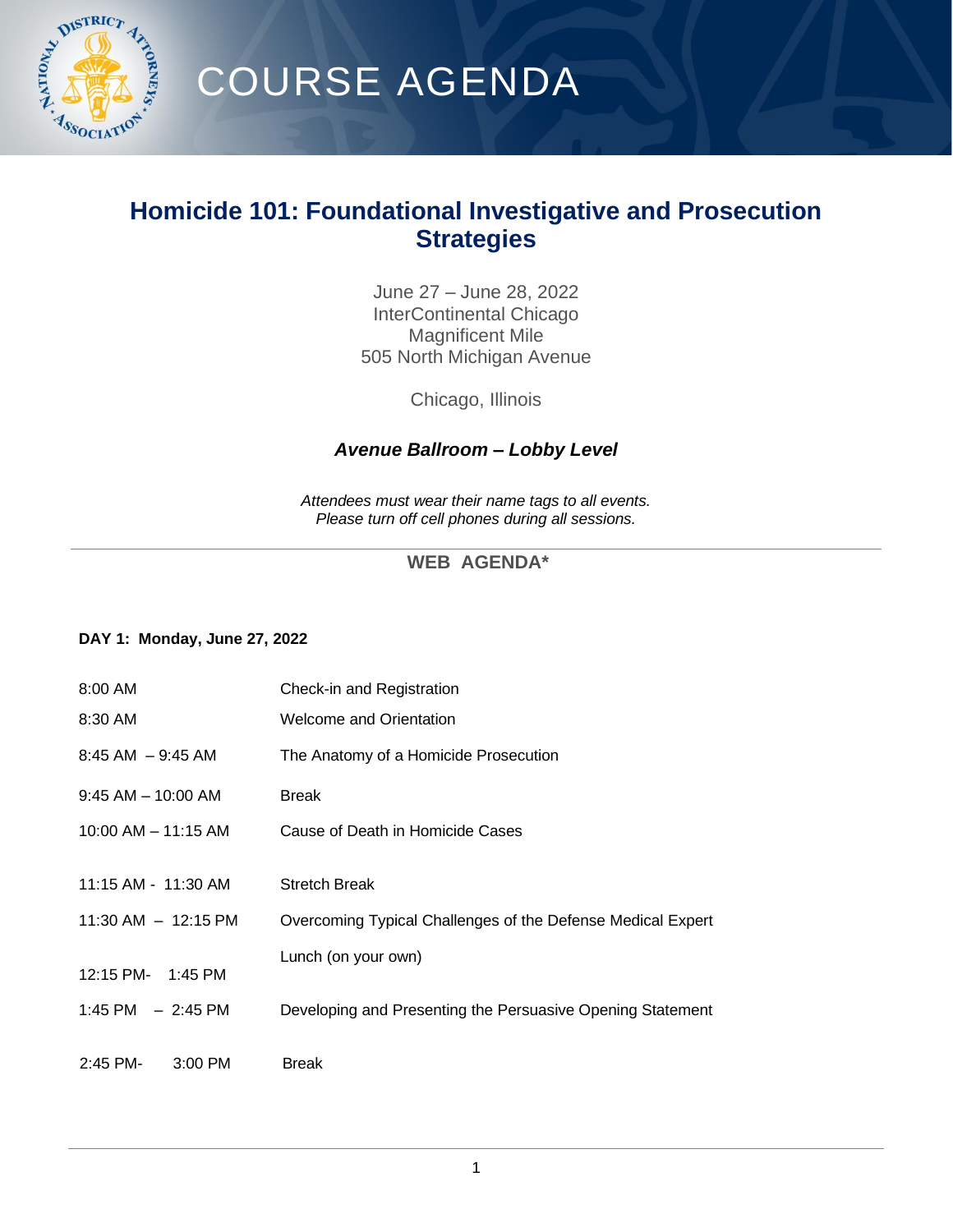

# COURSE AGENDA

## **Homicide 101: Foundational Investigative and Prosecution Strategies**

June 27 – June 28, 2022 InterContinental Chicago Magnificent Mile 505 North Michigan Avenue

Chicago, Illinois

### *Avenue Ballroom – Lobby Level*

*Attendees must wear their name tags to all events. Please turn off cell phones during all sessions.*

### **WEB AGENDA\***

#### **DAY 1: Monday, June 27, 2022**

| $8:00$ AM               | Check-in and Registration                                   |
|-------------------------|-------------------------------------------------------------|
| 8:30 AM                 | Welcome and Orientation                                     |
| $8:45$ AM $-9:45$ AM    | The Anatomy of a Homicide Prosecution                       |
| $9:45$ AM $-$ 10:00 AM  | <b>Break</b>                                                |
| 10:00 AM - 11:15 AM     | Cause of Death in Homicide Cases                            |
|                         |                                                             |
| 11:15 AM - 11:30 AM     | <b>Stretch Break</b>                                        |
| $11:30$ AM $- 12:15$ PM | Overcoming Typical Challenges of the Defense Medical Expert |
|                         | Lunch (on your own)                                         |
| 12:15 PM- 1:45 PM       |                                                             |
| 1:45 PM $-2:45$ PM      | Developing and Presenting the Persuasive Opening Statement  |
|                         |                                                             |
| $2:45$ PM-<br>$3:00$ PM | <b>Break</b>                                                |